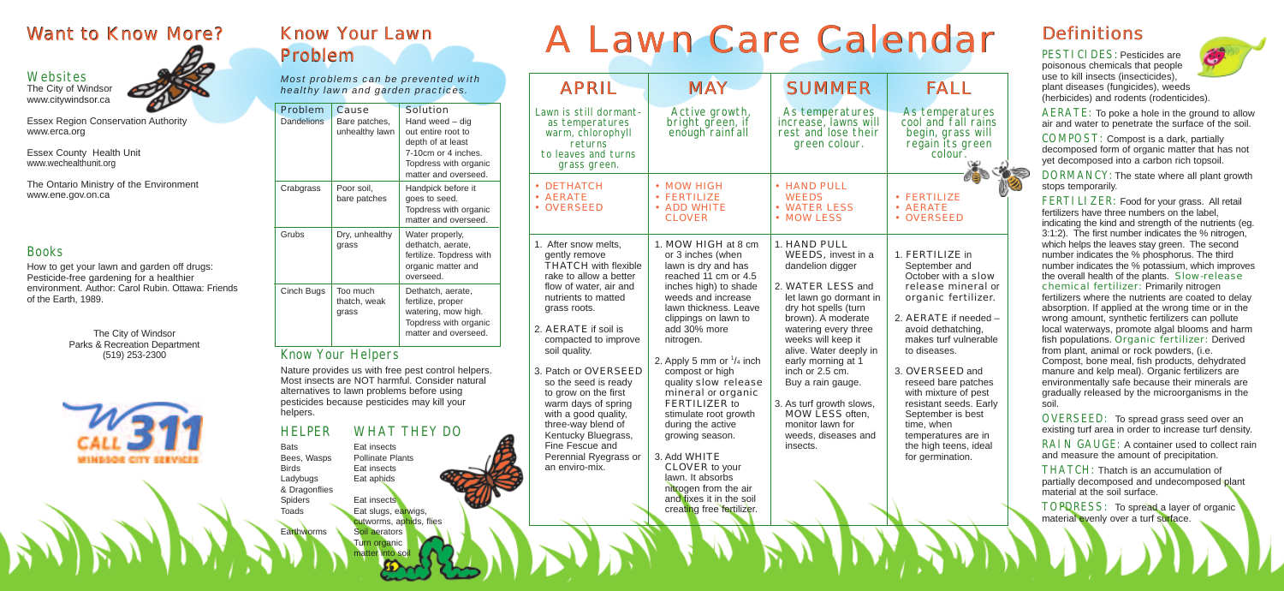#### Want to Know More?

#### **Websites**

# Problem

The City of Windsor www.citywindsor.ca



Essex Region Conservation Authority www.erca.org

Essex County Health Unit www.wechealthunit.org

The Ontario Ministry of the Environment www.ene.gov.on.ca

#### Books

How to get your lawn and garden off drugs: Pesticide-free gardening for a healthier environment. Author: Carol Rubin. Ottawa: Friends of the Earth, 1989.

> The City of Windsor Parks & Recreation Department (519) 253-2300



DORMANCY: The state where all plant growth stops temporarily.

PESTICIDES: Pesticides are poisonous chemicals that people use to kill insects (insecticides), plant diseases (fungicides), weeds (herbicides) and rodents (rodenticides).



AERATE: To poke a hole in the ground to allow air and water to penetrate the surface of the soil.

COMPOST: Compost is a dark, partially decomposed form of organic matter that has not yet decomposed into a carbon rich topsoil.

FERTI LIZER: Food for your grass. All retail fertilizers have three numbers on the label, indicating the kind and strength of the nutrients (eg. 3:1:2). The first number indicates the % nitrogen, which helps the leaves stay green. The second number indicates the % phosphorus. The third number indicates the % potassium, which improves the overall health of the plants. Slow-release chemical fertilizer: Primarily nitrogen fertilizers where the nutrients are coated to delay absorption. If applied at the wrong time or in the wrong amount, synthetic fertilizers can pollute local waterways, promote algal blooms and harm fish populations. Organic fertilizer: Derived from plant, animal or rock powders, (i.e. Compost, bone meal, fish products, dehydrated manure and kelp meal). Organic fertilizers are environmentally safe because their minerals are gradually released by the microorganisms in the soil.

RAIN GAUGE: A container used to collect rain and measure the amount of precipitation.

TOPDRESS: To spread a layer of organic material evenly over a turf surface.

OVERSEED: To spread grass seed over an existing turf area in order to increase turf density.

THATCH: Thatch is an accumulation of partially decomposed and undecomposed plant material at the soil surface.

*Most problems can be prevented with healthy lawn and garden practices.*

> As temperatures cool and fall rains begin, grass will regain its green<br>colour.

| Problem<br><b>Dandelions</b> | Cause<br>Bare patches,<br>unhealthy lawn | Solution<br>Hand weed – dig<br>out entire root to<br>depth of at least<br>7-10cm or 4 inches.<br>Topdress with organic<br>matter and overseed. |  |
|------------------------------|------------------------------------------|------------------------------------------------------------------------------------------------------------------------------------------------|--|
| Crabgrass                    | Poor soil,<br>bare patches               | Handpick before it<br>goes to seed.<br>Topdress with organic<br>matter and overseed.                                                           |  |
| Grubs                        | Dry, unhealthy<br>grass                  | Water properly,<br>dethatch, aerate,<br>fertilize. Topdress with<br>organic matter and<br>overseed.                                            |  |
| Cinch Bugs                   | Too much<br>thatch, weak<br>grass        | Dethatch, aerate,<br>fertilize, proper<br>watering, mow high.<br>Topdress with organic<br>matter and overseed.                                 |  |

#### Know Your Helpers

Nature provides us with free pest control helpers. Most insects are NOT harmful. Consider natural alternatives to lawn problems before using pesticides because pesticides may kill your helpers.

#### HELPER WHAT THEY DO

Bats Eat insects Bees, Wasps Pollinate Plants Birds Eat insects Ladybugs Eat aphids & Dragonflies Spiders **Eat insects** Toads **Eat slugs, earwigs,** cutworms, aphids, flies Earthworms Soil aerators Turn organic matter into soil

# Know Your Lawn<br>Problem Man A Lawn Care Calendar Definitions

| <b>APRIL</b>                                                                                                                                                                                                                                                                                                                                                                                                                                                       | <b>MAY</b>                                                                                                                                                                                                                                                                                                                                                                                                                                                                                                                                             | <b>SUMMER</b>                                                                                                                                                                                                                                                                                                                                                                                   | FALL                                                                                                                                                                                                                                                                                                                                    |
|--------------------------------------------------------------------------------------------------------------------------------------------------------------------------------------------------------------------------------------------------------------------------------------------------------------------------------------------------------------------------------------------------------------------------------------------------------------------|--------------------------------------------------------------------------------------------------------------------------------------------------------------------------------------------------------------------------------------------------------------------------------------------------------------------------------------------------------------------------------------------------------------------------------------------------------------------------------------------------------------------------------------------------------|-------------------------------------------------------------------------------------------------------------------------------------------------------------------------------------------------------------------------------------------------------------------------------------------------------------------------------------------------------------------------------------------------|-----------------------------------------------------------------------------------------------------------------------------------------------------------------------------------------------------------------------------------------------------------------------------------------------------------------------------------------|
| Lawn is still dormant-<br>as temperatures<br>warm, chlorophyll<br>returns<br>to leaves and turns<br>grass green.                                                                                                                                                                                                                                                                                                                                                   | Active growth,<br>bright green, if<br>enough rainfall                                                                                                                                                                                                                                                                                                                                                                                                                                                                                                  | As temperatures<br>increase, lawns will<br>rest and lose their<br>green colour.                                                                                                                                                                                                                                                                                                                 | As temperat<br>cool and fall<br>begin, grass<br>regain its gr<br>colour.                                                                                                                                                                                                                                                                |
| • DETHATCH<br>· AERATE<br>• OVERSEED                                                                                                                                                                                                                                                                                                                                                                                                                               | • MOW HIGH<br><b>FERTILIZE</b><br><b>ADD WHITE</b><br><b>CLOVER</b>                                                                                                                                                                                                                                                                                                                                                                                                                                                                                    | • HAND PULL<br><b>WEEDS</b><br><b>WATER LESS</b><br><b>MOW LESS</b>                                                                                                                                                                                                                                                                                                                             | <b>FERTILIZE</b><br><b>AERATE</b><br><b>OVERSEED</b>                                                                                                                                                                                                                                                                                    |
| 1. After snow melts,<br>gently remove<br><b>THATCH with flexible</b><br>rake to allow a better<br>flow of water, air and<br>nutrients to matted<br>grass roots.<br>2. AERATE if soil is<br>compacted to improve<br>soil quality.<br>3. Patch or OVERSEED<br>so the seed is ready<br>to grow on the first<br>warm days of spring<br>with a good quality,<br>three-way blend of<br>Kentucky Bluegrass,<br>Fine Fescue and<br>Perennial Ryegrass or<br>an enviro-mix. | 1. MOW HIGH at 8 cm<br>or 3 inches (when<br>lawn is dry and has<br>reached 11 cm or 4.5<br>inches high) to shade<br>weeds and increase<br>lawn thickness. Leave<br>clippings on lawn to<br>add 30% more<br>nitrogen.<br>2. Apply 5 mm or $\frac{1}{4}$ inch<br>compost or high<br>quality slow release<br>mineral or organic<br>FERTILIZER to<br>stimulate root growth<br>during the active<br>growing season.<br>3. Add WHITE<br>CLOVER to your<br>lawn. It absorbs<br>nitrogen from the air<br>and fixes it in the soil<br>creating free fertilizer. | 1. HAND PULL<br>WEEDS, invest in a<br>dandelion digger<br>2. WATER LESS and<br>let lawn go dormant in<br>dry hot spells (turn<br>brown). A moderate<br>watering every three<br>weeks will keep it<br>alive. Water deeply in<br>early morning at 1<br>inch or 2.5 cm.<br>Buy a rain gauge.<br>3. As turf growth slows,<br>MOW LESS often,<br>monitor lawn for<br>weeds, diseases and<br>insects. | 1. FERTILIZE in<br>September and<br>October with a<br>release mine<br>organic fertil<br>2. AERATE if nee<br>avoid dethatchir<br>makes turf vuln<br>to diseases.<br>3. OVERSEED a<br>reseed bare pat<br>with mixture of p<br>resistant seeds.<br>September is be<br>time, when<br>temperatures ar<br>the high teens,<br>for germination. |
|                                                                                                                                                                                                                                                                                                                                                                                                                                                                    |                                                                                                                                                                                                                                                                                                                                                                                                                                                                                                                                                        |                                                                                                                                                                                                                                                                                                                                                                                                 |                                                                                                                                                                                                                                                                                                                                         |

- FERTILIZE
- AERATE
- OVERSEED
- nt in 1. FERTILIZE in September and October with a slow release mineral or organic fertilizer.
	- 2. AERATE if needed avoid dethatching, makes turf vulnerable to diseases.
	- 3. OVERSEED and reseed bare patches with mixture of pest resistant seeds. Early September is best time, when temperatures are in the high teens, ideal for germination.

### **Definitions**